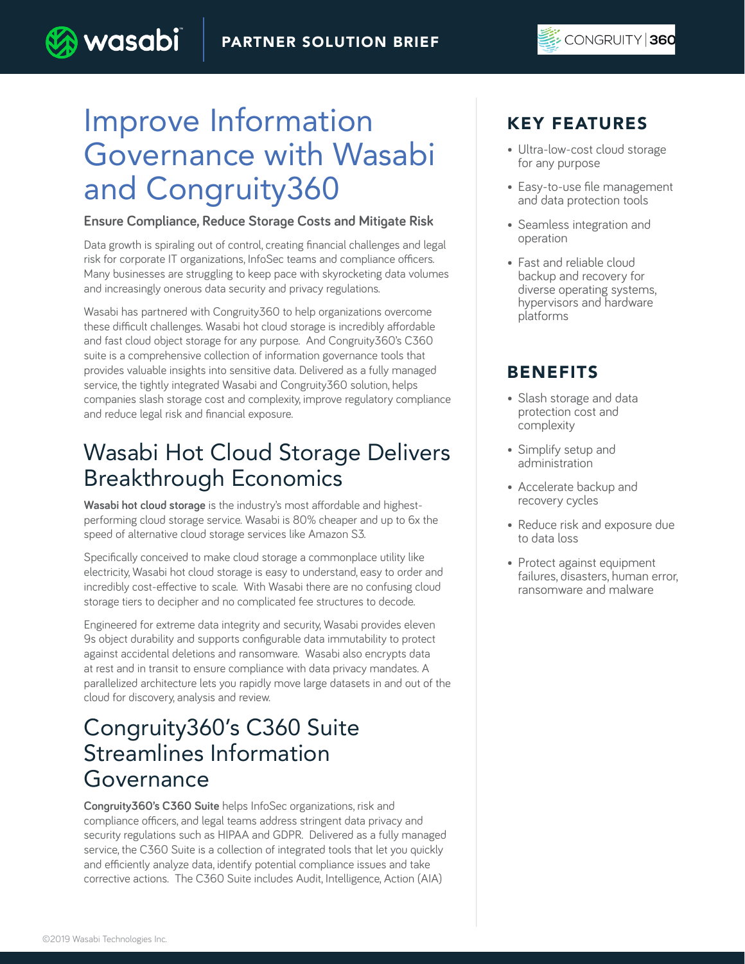# Improve Information Governance with Wasabi and Congruity360

**wasabi** 

### **Ensure Compliance, Reduce Storage Costs and Mitigate Risk**

Data growth is spiraling out of control, creating financial challenges and legal risk for corporate IT organizations, InfoSec teams and compliance officers. Many businesses are struggling to keep pace with skyrocketing data volumes and increasingly onerous data security and privacy regulations.

Wasabi has partnered with Congruity360 to help organizations overcome these difficult challenges. Wasabi hot cloud storage is incredibly affordable and fast cloud object storage for any purpose. And Congruity360's C360 suite is a comprehensive collection of information governance tools that provides valuable insights into sensitive data. Delivered as a fully managed service, the tightly integrated Wasabi and Congruity360 solution, helps companies slash storage cost and complexity, improve regulatory compliance and reduce legal risk and financial exposure.

# Wasabi Hot Cloud Storage Delivers Breakthrough Economics

**Wasabi hot cloud storage** is the industry's most affordable and highestperforming cloud storage service. Wasabi is 80% cheaper and up to 6x the speed of alternative cloud storage services like Amazon S3.

Specifically conceived to make cloud storage a commonplace utility like electricity, Wasabi hot cloud storage is easy to understand, easy to order and incredibly cost-effective to scale. With Wasabi there are no confusing cloud storage tiers to decipher and no complicated fee structures to decode.

Engineered for extreme data integrity and security, Wasabi provides eleven 9s object durability and supports configurable data immutability to protect against accidental deletions and ransomware. Wasabi also encrypts data at rest and in transit to ensure compliance with data privacy mandates. A parallelized architecture lets you rapidly move large datasets in and out of the cloud for discovery, analysis and review.

## Congruity360's C360 Suite Streamlines Information Governance

**Congruity360's C360 Suite** helps InfoSec organizations, risk and compliance officers, and legal teams address stringent data privacy and security regulations such as HIPAA and GDPR. Delivered as a fully managed service, the C360 Suite is a collection of integrated tools that let you quickly and efficiently analyze data, identify potential compliance issues and take corrective actions. The C360 Suite includes Audit, Intelligence, Action (AIA)

## KEY FEATURES

- Ultra-low-cost cloud storage for any purpose
- Easy-to-use file management and data protection tools
- Seamless integration and operation
- Fast and reliable cloud backup and recovery for diverse operating systems, hypervisors and hardware platforms

## BENEFITS

- Slash storage and data protection cost and complexity
- Simplify setup and administration
- Accelerate backup and recovery cycles
- Reduce risk and exposure due to data loss
- Protect against equipment failures, disasters, human error, ransomware and malware